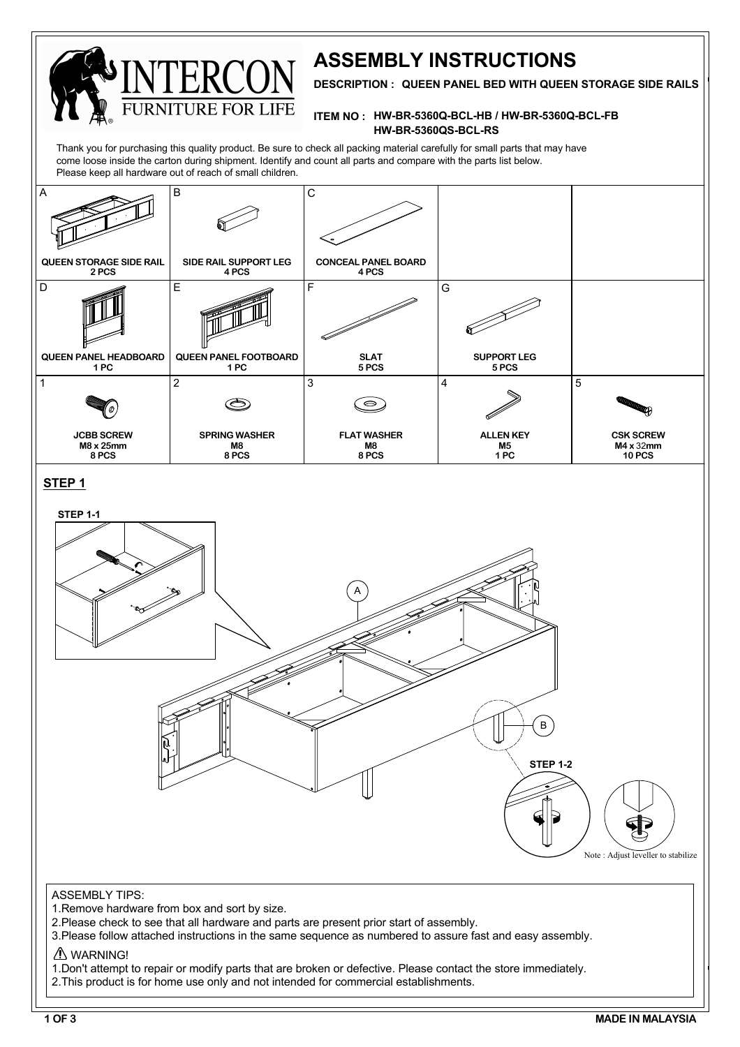

# **ASSEMBLY INSTRUCTIONS**

**DESCRIPTION : QUEEN PANEL BED WITH QUEEN STORAGE SIDE RAILS**

#### **ITEM NO : HW-BR-5360Q-BCL-HB / HW-BR-5360Q-BCL-FB HW-BR-5360QS-BCL-RS**

Thank you for purchasing this quality product. Be sure to check all packing material carefully for small parts that may have come loose inside the carton during shipment. Identify and count all parts and compare with the parts list below. Please keep all hardware out of reach of small children.

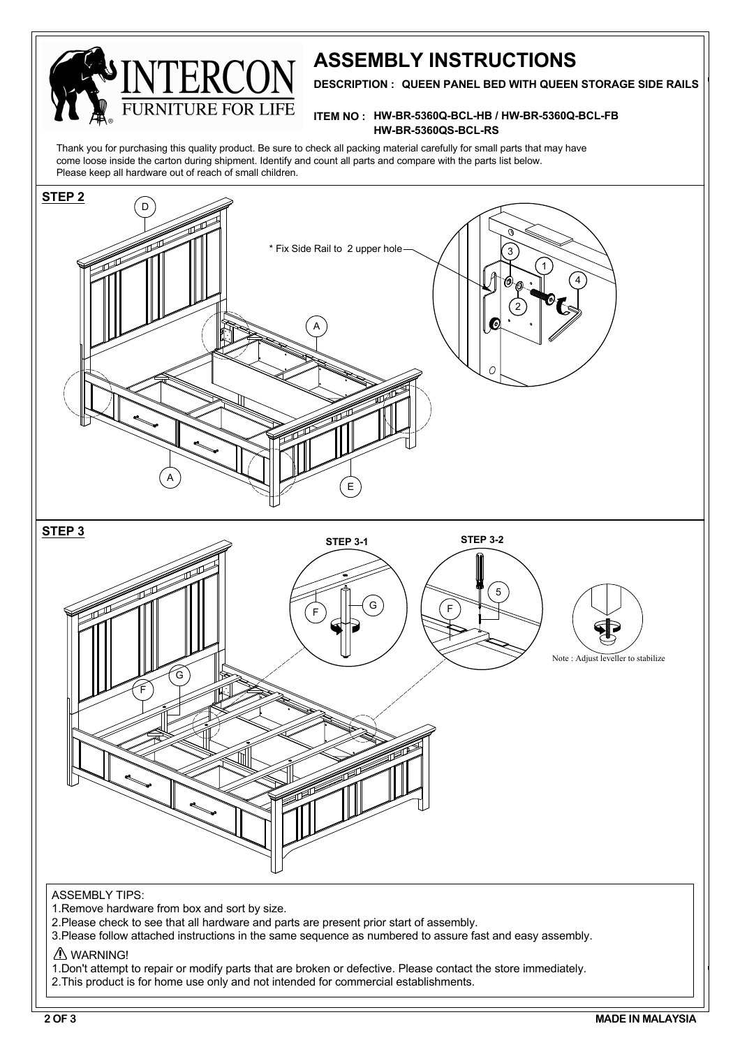

## **ASSEMBLY INSTRUCTIONS**

**DESCRIPTION : QUEEN PANEL BED WITH QUEEN STORAGE SIDE RAILS**

#### **ITEM NO : HW-BR-5360Q-BCL-HB / HW-BR-5360Q-BCL-FB HW-BR-5360QS-BCL-RS**

Thank you for purchasing this quality product. Be sure to check all packing material carefully for small parts that may have come loose inside the carton during shipment. Identify and count all parts and compare with the parts list below. Please keep all hardware out of reach of small children.